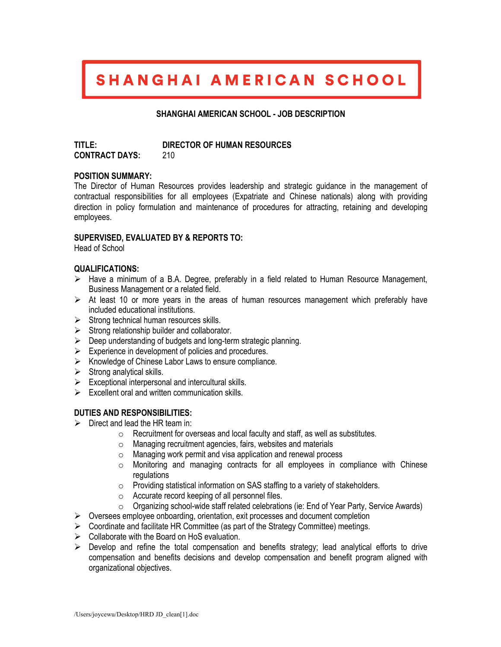# SHANGHAI AMERICAN SCHOOL

# **SHANGHAI AMERICAN SCHOOL - JOB DESCRIPTION**

**TITLE: DIRECTOR OF HUMAN RESOURCES CONTRACT DAYS:** 210

## **POSITION SUMMARY:**

The Director of Human Resources provides leadership and strategic guidance in the management of contractual responsibilities for all employees (Expatriate and Chinese nationals) along with providing direction in policy formulation and maintenance of procedures for attracting, retaining and developing employees.

## **SUPERVISED, EVALUATED BY & REPORTS TO:**

Head of School

#### **QUALIFICATIONS:**

- $\triangleright$  Have a minimum of a B.A. Degree, preferably in a field related to Human Resource Management, Business Management or a related field.
- $\triangleright$  At least 10 or more years in the areas of human resources management which preferably have included educational institutions.
- $\triangleright$  Strong technical human resources skills.
- $\triangleright$  Strong relationship builder and collaborator.
- $\triangleright$  Deep understanding of budgets and long-term strategic planning.
- $\triangleright$  Experience in development of policies and procedures.
- $\triangleright$  Knowledge of Chinese Labor Laws to ensure compliance.
- $\triangleright$  Strong analytical skills.
- $\triangleright$  Exceptional interpersonal and intercultural skills.
- $\triangleright$  Excellent oral and written communication skills.

## **DUTIES AND RESPONSIBILITIES:**

- $\triangleright$  Direct and lead the HR team in:
	- o Recruitment for overseas and local faculty and staff, as well as substitutes.
	- o Managing recruitment agencies, fairs, websites and materials
	- o Managing work permit and visa application and renewal process
	- o Monitoring and managing contracts for all employees in compliance with Chinese regulations
	- o Providing statistical information on SAS staffing to a variety of stakeholders.
	- o Accurate record keeping of all personnel files.
	- o Organizing school-wide staff related celebrations (ie: End of Year Party, Service Awards)
- $\triangleright$  Oversees employee onboarding, orientation, exit processes and document completion
- $\triangleright$  Coordinate and facilitate HR Committee (as part of the Strategy Committee) meetings.
- $\triangleright$  Collaborate with the Board on HoS evaluation.
- $\triangleright$  Develop and refine the total compensation and benefits strategy; lead analytical efforts to drive compensation and benefits decisions and develop compensation and benefit program aligned with organizational objectives.